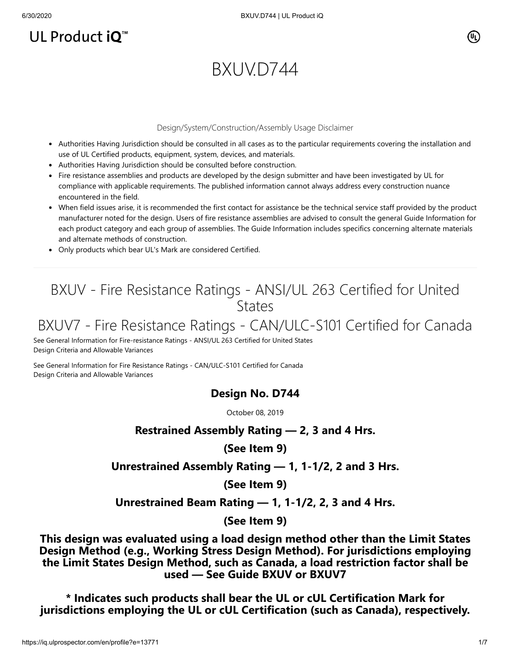## UL Product iQ<sup>™</sup>

# BXUVD744

#### Design/System/Construction/Assembly Usage Disclaimer

- Authorities Having Jurisdiction should be consulted in all cases as to the particular requirements covering the installation and use of UL Certified products, equipment, system, devices, and materials.
- Authorities Having Jurisdiction should be consulted before construction.
- Fire resistance assemblies and products are developed by the design submitter and have been investigated by UL for compliance with applicable requirements. The published information cannot always address every construction nuance encountered in the field.
- When field issues arise, it is recommended the first contact for assistance be the technical service staff provided by the product manufacturer noted for the design. Users of fire resistance assemblies are advised to consult the general Guide Information for each product category and each group of assemblies. The Guide Information includes specifics concerning alternate materials and alternate methods of construction.
- Only products which bear UL's Mark are considered Certified.

### BXUV - Fire Resistance Ratings - ANSI/UL 263 Certified for United **States**

### BXUV7 - Fire Resistance Ratings - CAN/ULC-S101 Certified for Canada

[See General Information for Fire-resistance Ratings - ANSI/UL 263 Certified for United States](https://iq.ulprospector.com/cgi-bin/XYV/template/LISEXT/1FRAME/showpage.html?name=BXUV.GuideInfo&ccnshorttitle=Fire-resistance+Ratings+-+ANSI/UL+263&objid=1074327030&cfgid=1073741824&version=versionless&parent_id=1073984818&sequence=1) Design Criteria and Allowable Variances

[See General Information for Fire Resistance Ratings - CAN/ULC-S101 Certified for Canada](https://iq.ulprospector.com/cgi-bin/XYV/template/LISEXT/1FRAME/showpage.html?name=BXUV7.GuideInfo&ccnshorttitle=Fire+Resistance+Ratings+-+CAN/ULC-S101+Certified+for+Canada&objid=1074205658&cfgid=1073741824&version=versionless&parent_id=1073984820&sequence=1) Design Criteria and Allowable Variances

### **Design No. D744**

October 08, 2019

### **Restrained Assembly Rating — 2, 3 and 4 Hrs.**

**(See Item 9)**

**Unrestrained Assembly Rating — 1, 1-1/2, 2 and 3 Hrs.**

**(See Item 9)**

**Unrestrained Beam Rating — 1, 1-1/2, 2, 3 and 4 Hrs.**

**(See Item 9)**

**This design was evaluated using a load design method other than the Limit States Design Method (e.g., Working Stress Design Method). For jurisdictions employing the Limit States Design Method, such as Canada, a load restriction factor shall be used — See Guide [BXUV](https://database.ul.com/cgi-bin/XYV/template/LISEXT/1FRAME/showpage.html?name=BXUV.GuideInfo&ccnshorttitle=Fire-resistance+Ratings+-+ANSI/UL+263&objid=1074327030&cfgid=1073741824&version=versionless&parent_id=1073984818&sequence=1) or [BXUV7](https://database.ul.com/cgi-bin/XYV/template/LISEXT/1FRAME/showpage.html?name=BXUV7.GuideInfo&ccnshorttitle=Fire+Resistance+Ratings+-+CAN/ULC-S101M+Certified+for+Canada&objid=1074205658&cfgid=1073741824&version=versionless&parent_id=1073984820&sequence=1)**

**\* Indicates such products shall bear the UL or cUL Certification Mark for jurisdictions employing the UL or cUL Certification (such as Canada), respectively.**

 $(\mathtt{U}_\mathsf{L})$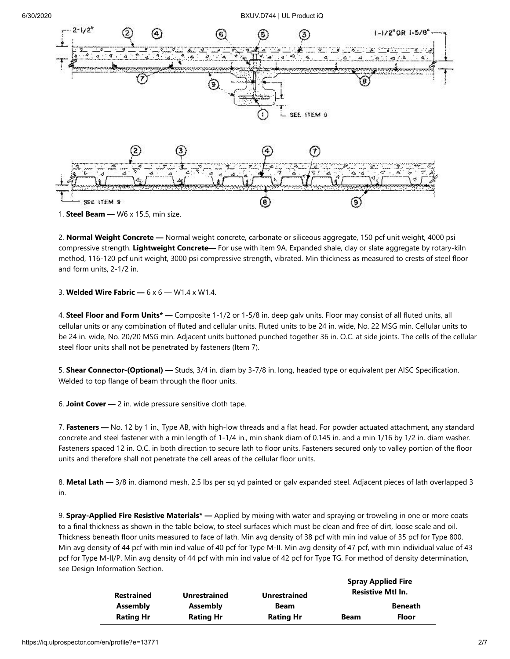6/30/2020 BXUV.D744 | UL Product iQ



2. **Normal Weight Concrete —** Normal weight concrete, carbonate or siliceous aggregate, 150 pcf unit weight, 4000 psi compressive strength. **Lightweight Concrete—** For use with item 9A. Expanded shale, clay or slate aggregate by rotary-kiln method, 116-120 pcf unit weight, 3000 psi compressive strength, vibrated. Min thickness as measured to crests of steel floor and form units, 2-1/2 in.

3. **Welded Wire Fabric —** 6 x 6 — W1.4 x W1.4.

4. **Steel Floor and Form Units\* —** Composite 1-1/2 or 1-5/8 in. deep galv units. Floor may consist of all fluted units, all cellular units or any combination of fluted and cellular units. Fluted units to be 24 in. wide, No. 22 MSG min. Cellular units to be 24 in. wide, No. 20/20 MSG min. Adjacent units buttoned punched together 36 in. O.C. at side joints. The cells of the cellular steel floor units shall not be penetrated by fasteners (Item 7).

5. **Shear Connector-(Optional) —** Studs, 3/4 in. diam by 3-7/8 in. long, headed type or equivalent per AISC Specification. Welded to top flange of beam through the floor units.

6. **Joint Cover —** 2 in. wide pressure sensitive cloth tape.

7. **Fasteners —** No. 12 by 1 in., Type AB, with high-low threads and a flat head. For powder actuated attachment, any standard concrete and steel fastener with a min length of 1-1/4 in., min shank diam of 0.145 in. and a min 1/16 by 1/2 in. diam washer. Fasteners spaced 12 in. O.C. in both direction to secure lath to floor units. Fasteners secured only to valley portion of the floor units and therefore shall not penetrate the cell areas of the cellular floor units.

8. **Metal Lath —** 3/8 in. diamond mesh, 2.5 lbs per sq yd painted or galv expanded steel. Adjacent pieces of lath overlapped 3 in.

9. **Spray-Applied Fire Resistive Materials\* —** Applied by mixing with water and spraying or troweling in one or more coats to a final thickness as shown in the table below, to steel surfaces which must be clean and free of dirt, loose scale and oil. Thickness beneath floor units measured to face of lath. Min avg density of 38 pcf with min ind value of 35 pcf for Type 800. Min avg density of 44 pcf with min ind value of 40 pcf for Type M-II. Min avg density of 47 pcf, with min individual value of 43 pcf for Type M-II/P. Min avg density of 44 pcf with min ind value of 42 pcf for Type TG. For method of density determination, see Design Information Section.

|                   |                     |                     |             | <b>Spray Applied Fire</b> |
|-------------------|---------------------|---------------------|-------------|---------------------------|
| <b>Restrained</b> | <b>Unrestrained</b> | <b>Unrestrained</b> |             | <b>Resistive Mtl In.</b>  |
| Assembly          | Assembly            | <b>Beam</b>         |             | <b>Beneath</b>            |
| <b>Rating Hr</b>  | <b>Rating Hr</b>    | <b>Rating Hr</b>    | <b>Beam</b> | <b>Floor</b>              |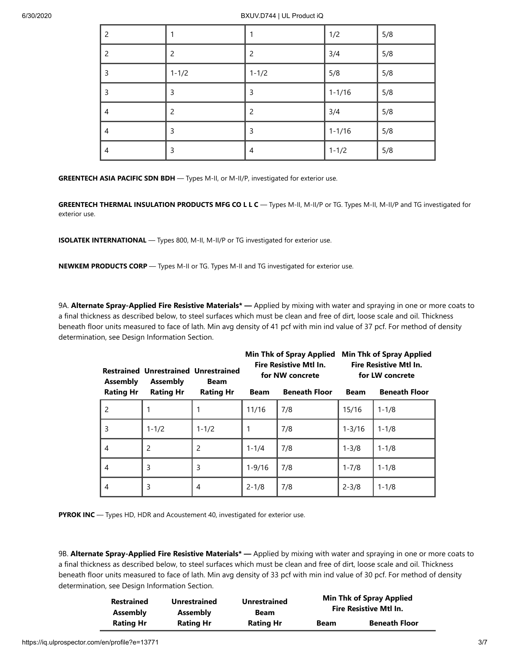| 2              | 1              | 1              | 1/2        | 5/8 |
|----------------|----------------|----------------|------------|-----|
| 2              | $\overline{c}$ | $\overline{2}$ | 3/4        | 5/8 |
| 3              | $1 - 1/2$      | $1 - 1/2$      | 5/8        | 5/8 |
| 3              | 3              | 3              | $1 - 1/16$ | 5/8 |
| 4              | $\overline{2}$ | $\overline{2}$ | 3/4        | 5/8 |
| $\overline{4}$ | $\mathsf{3}$   | 3              | $1 - 1/16$ | 5/8 |
| 4              | 3              | 4              | $1 - 1/2$  | 5/8 |

**GREENTECH ASIA PACIFIC SDN BDH** — Types M-II, or M-II/P, investigated for exterior use.

**GREENTECH THERMAL INSULATION PRODUCTS MFG CO L L C** — Types M-II, M-II/P or TG. Types M-II, M-II/P and TG investigated for exterior use.

**ISOLATEK INTERNATIONAL** — Types 800, M-II, M-II/P or TG investigated for exterior use.

**NEWKEM PRODUCTS CORP** — Types M-II or TG. Types M-II and TG investigated for exterior use.

9A. **Alternate Spray-Applied Fire Resistive Materials\* —** Applied by mixing with water and spraying in one or more coats to a final thickness as described below, to steel surfaces which must be clean and free of dirt, loose scale and oil. Thickness beneath floor units measured to face of lath. Min avg density of 41 pcf with min ind value of 37 pcf. For method of density determination, see Design Information Section.

| <b>Assembly</b>  | <b>Restrained Unrestrained Unrestrained</b><br>Assembly | <b>Fire Resistive Mtl In.</b><br>for NW concrete<br><b>Beam</b> |             | <b>Min Thk of Spray Applied</b> |             | <b>Min Thk of Spray Applied</b><br><b>Fire Resistive Mtl In.</b><br>for LW concrete |
|------------------|---------------------------------------------------------|-----------------------------------------------------------------|-------------|---------------------------------|-------------|-------------------------------------------------------------------------------------|
| <b>Rating Hr</b> | <b>Rating Hr</b>                                        | <b>Rating Hr</b>                                                | <b>Beam</b> | <b>Beneath Floor</b>            | <b>Beam</b> | <b>Beneath Floor</b>                                                                |
| 2                |                                                         |                                                                 | 11/16       | 7/8                             | 15/16       | $1 - 1/8$                                                                           |
| 3                | $1 - 1/2$                                               | $1 - 1/2$                                                       |             | 7/8                             | $1 - 3/16$  | $1 - 1/8$                                                                           |
| 4                | $\overline{2}$                                          | 2                                                               | $1 - 1/4$   | 7/8                             | $1 - 3/8$   | $1 - 1/8$                                                                           |
| 4                | 3                                                       | 3                                                               | $1 - 9/16$  | 7/8                             | $1 - 7/8$   | $1 - 1/8$                                                                           |
| 4                | 3                                                       | 4                                                               | $2 - 1/8$   | 7/8                             | $2 - 3/8$   | $1 - 1/8$                                                                           |

**PYROK INC** — Types HD, HDR and Acoustement 40, investigated for exterior use.

9B. **Alternate Spray-Applied Fire Resistive Materials\* —** Applied by mixing with water and spraying in one or more coats to a final thickness as described below, to steel surfaces which must be clean and free of dirt, loose scale and oil. Thickness beneath floor units measured to face of lath. Min avg density of 33 pcf with min ind value of 30 pcf. For method of density determination, see Design Information Section.

| <b>Restrained</b> | <b>Unrestrained</b> | <b>Unrestrained</b> | <b>Min Thk of Spray Applied</b> |                      |
|-------------------|---------------------|---------------------|---------------------------------|----------------------|
| <b>Assembly</b>   | <b>Assembly</b>     | <b>Beam</b>         | <b>Fire Resistive Mtl In.</b>   |                      |
| <b>Rating Hr</b>  | <b>Rating Hr</b>    | <b>Rating Hr</b>    | <b>Beam</b>                     | <b>Beneath Floor</b> |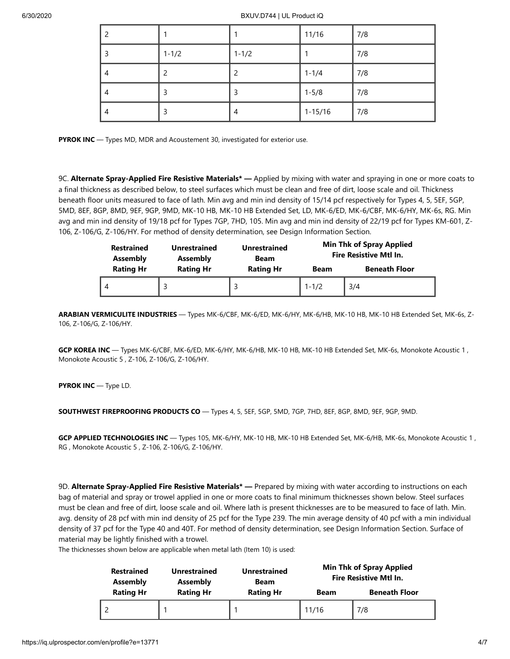#### 6/30/2020 BXUV.D744 | UL Product iQ

| 2 |           |           | 11/16       | 7/8 |
|---|-----------|-----------|-------------|-----|
| 3 | $1 - 1/2$ | $1 - 1/2$ |             | 7/8 |
| 4 |           | 2         | $1 - 1/4$   | 7/8 |
| 4 | 3         | 3         | $1 - 5/8$   | 7/8 |
| 4 | 3         | 4         | $1 - 15/16$ | 7/8 |

**PYROK INC** — Types MD, MDR and Acoustement 30, investigated for exterior use.

9C. **Alternate Spray-Applied Fire Resistive Materials\* —** Applied by mixing with water and spraying in one or more coats to a final thickness as described below, to steel surfaces which must be clean and free of dirt, loose scale and oil. Thickness beneath floor units measured to face of lath. Min avg and min ind density of 15/14 pcf respectively for Types 4, 5, 5EF, 5GP, 5MD, 8EF, 8GP, 8MD, 9EF, 9GP, 9MD, MK-10 HB, MK-10 HB Extended Set, LD, MK-6/ED, MK-6/CBF, MK-6/HY, MK-6s, RG. Min avg and min ind density of 19/18 pcf for Types 7GP, 7HD, 105. Min avg and min ind density of 22/19 pcf for Types KM-601, Z-106, Z-106/G, Z-106/HY. For method of density determination, see Design Information Section.

| <b>Restrained</b><br><b>Assembly</b> | <b>Unrestrained</b><br><b>Assembly</b> | <b>Unrestrained</b><br>Beam | <b>Min Thk of Spray Applied</b><br><b>Fire Resistive Mtl In.</b> |                      |
|--------------------------------------|----------------------------------------|-----------------------------|------------------------------------------------------------------|----------------------|
| <b>Rating Hr</b>                     | <b>Rating Hr</b>                       | <b>Rating Hr</b>            | <b>Beam</b>                                                      | <b>Beneath Floor</b> |
|                                      |                                        |                             | $1 - 1/2$                                                        | 3/4                  |

**ARABIAN VERMICULITE INDUSTRIES** — Types MK-6/CBF, MK-6/ED, MK-6/HY, MK-6/HB, MK-10 HB, MK-10 HB Extended Set, MK-6s, Z-106, Z-106/G, Z-106/HY.

**GCP KOREA INC** — Types MK-6/CBF, MK-6/ED, MK-6/HY, MK-6/HB, MK-10 HB, MK-10 HB Extended Set, MK-6s, Monokote Acoustic 1 , Monokote Acoustic 5 , Z-106, Z-106/G, Z-106/HY.

**PYROK INC** — Type LD.

**SOUTHWEST FIREPROOFING PRODUCTS CO** — Types 4, 5, 5EF, 5GP, 5MD, 7GP, 7HD, 8EF, 8GP, 8MD, 9EF, 9GP, 9MD.

**GCP APPLIED TECHNOLOGIES INC** — Types 105, MK-6/HY, MK-10 HB, MK-10 HB Extended Set, MK-6/HB, MK-6s, Monokote Acoustic 1 , RG , Monokote Acoustic 5 , Z-106, Z-106/G, Z-106/HY.

9D. **Alternate Spray-Applied Fire Resistive Materials\* —** Prepared by mixing with water according to instructions on each bag of material and spray or trowel applied in one or more coats to final minimum thicknesses shown below. Steel surfaces must be clean and free of dirt, loose scale and oil. Where lath is present thicknesses are to be measured to face of lath. Min. avg. density of 28 pcf with min ind density of 25 pcf for the Type 239. The min average density of 40 pcf with a min individual density of 37 pcf for the Type 40 and 40T. For method of density determination, see Design Information Section. Surface of material may be lightly finished with a trowel.

The thicknesses shown below are applicable when metal lath (Item 10) is used:

| <b>Restrained</b><br>Assembly | <b>Unrestrained</b><br>Assembly | <b>Unrestrained</b><br><b>Beam</b> | <b>Min Thk of Spray Applied</b><br><b>Fire Resistive Mtl In.</b> |                      |
|-------------------------------|---------------------------------|------------------------------------|------------------------------------------------------------------|----------------------|
| <b>Rating Hr</b>              | <b>Rating Hr</b>                | <b>Rating Hr</b>                   | Beam                                                             | <b>Beneath Floor</b> |
|                               |                                 |                                    | 11/16                                                            | 7/8                  |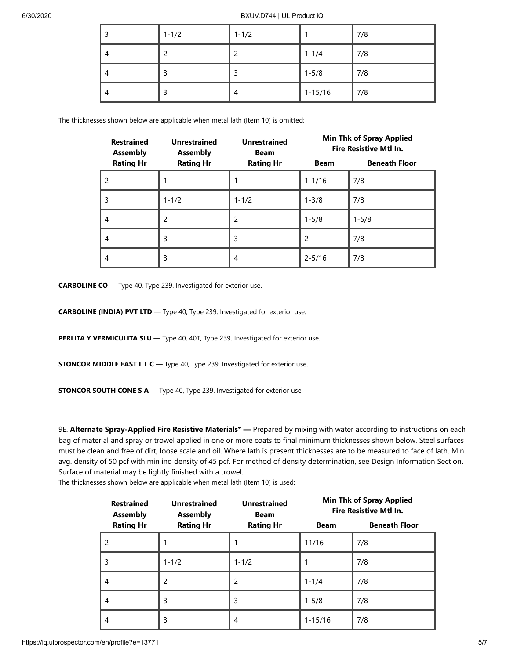| $1 - 1/2$ | $1 - 1/2$ |             | 7/8 |
|-----------|-----------|-------------|-----|
|           | ◠         | $1 - 1/4$   | 7/8 |
|           | 3         | $1 - 5/8$   | 7/8 |
|           | 4         | $1 - 15/16$ | 7/8 |

The thicknesses shown below are applicable when metal lath (Item 10) is omitted:

| <b>Restrained</b><br><b>Assembly</b> | <b>Unrestrained</b><br><b>Assembly</b> | <b>Unrestrained</b><br><b>Beam</b> |                | <b>Min Thk of Spray Applied</b><br><b>Fire Resistive Mtl In.</b> |
|--------------------------------------|----------------------------------------|------------------------------------|----------------|------------------------------------------------------------------|
| <b>Rating Hr</b>                     | <b>Rating Hr</b>                       | <b>Rating Hr</b>                   | <b>Beam</b>    | <b>Beneath Floor</b>                                             |
| $\overline{c}$                       |                                        |                                    | $1 - 1/16$     | 7/8                                                              |
| 3                                    | $1 - 1/2$                              | $1 - 1/2$                          | $1 - 3/8$      | 7/8                                                              |
| $\overline{4}$                       | 2                                      | 2                                  | $1 - 5/8$      | $1 - 5/8$                                                        |
| $\overline{4}$                       | 3                                      | 3                                  | $\mathfrak{p}$ | 7/8                                                              |
| 4                                    | 3                                      | 4                                  | $2 - 5/16$     | 7/8                                                              |

**CARBOLINE CO** — Type 40, Type 239. Investigated for exterior use.

**CARBOLINE (INDIA) PVT LTD** — Type 40, Type 239. Investigated for exterior use.

**PERLITA Y VERMICULITA SLU** - Type 40, 40T, Type 239. Investigated for exterior use.

**STONCOR MIDDLE EAST L L C** — Type 40, Type 239. Investigated for exterior use.

**STONCOR SOUTH CONE S A** — Type 40, Type 239. Investigated for exterior use.

9E. **Alternate Spray-Applied Fire Resistive Materials\* —** Prepared by mixing with water according to instructions on each bag of material and spray or trowel applied in one or more coats to final minimum thicknesses shown below. Steel surfaces must be clean and free of dirt, loose scale and oil. Where lath is present thicknesses are to be measured to face of lath. Min. avg. density of 50 pcf with min ind density of 45 pcf. For method of density determination, see Design Information Section. Surface of material may be lightly finished with a trowel.

The thicknesses shown below are applicable when metal lath (Item 10) is used:

| <b>Restrained</b><br><b>Assembly</b> | <b>Unrestrained</b><br><b>Assembly</b> | <b>Unrestrained</b><br><b>Beam</b> |             | <b>Min Thk of Spray Applied</b><br><b>Fire Resistive Mtl In.</b> |
|--------------------------------------|----------------------------------------|------------------------------------|-------------|------------------------------------------------------------------|
| <b>Rating Hr</b>                     | <b>Rating Hr</b>                       | <b>Rating Hr</b>                   | <b>Beam</b> | <b>Beneath Floor</b>                                             |
| $\mathcal{P}$                        |                                        |                                    | 11/16       | 7/8                                                              |
| 3                                    | $1 - 1/2$                              | $1 - 1/2$                          |             | 7/8                                                              |
| 4                                    | 2                                      | $\overline{c}$                     | $1 - 1/4$   | 7/8                                                              |
| 4                                    | 3                                      | 3                                  | $1 - 5/8$   | 7/8                                                              |
| 4                                    | 3                                      | 4                                  | $1 - 15/16$ | 7/8                                                              |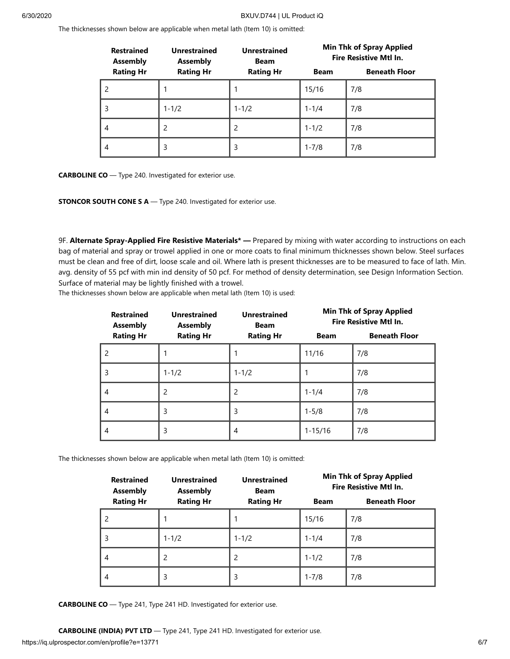The thicknesses shown below are applicable when metal lath (Item 10) is omitted:

| <b>Restrained</b><br><b>Assembly</b> | <b>Unrestrained</b><br><b>Assembly</b> | <b>Unrestrained</b><br><b>Beam</b> | <b>Min Thk of Spray Applied</b><br><b>Fire Resistive Mtl In.</b> |                      |
|--------------------------------------|----------------------------------------|------------------------------------|------------------------------------------------------------------|----------------------|
| <b>Rating Hr</b>                     | <b>Rating Hr</b>                       | <b>Rating Hr</b>                   | <b>Beam</b>                                                      | <b>Beneath Floor</b> |
|                                      |                                        |                                    | 15/16                                                            | 7/8                  |
| 3                                    | $1 - 1/2$                              | $1 - 1/2$                          | $1 - 1/4$                                                        | 7/8                  |
| 4                                    | 2                                      | 2                                  | $1 - 1/2$                                                        | 7/8                  |
| 4                                    | 3                                      | 3                                  | $1 - 7/8$                                                        | 7/8                  |

**CARBOLINE CO** — Type 240. Investigated for exterior use.

**STONCOR SOUTH CONE S A** — Type 240. Investigated for exterior use.

9F. **Alternate Spray-Applied Fire Resistive Materials\* —** Prepared by mixing with water according to instructions on each bag of material and spray or trowel applied in one or more coats to final minimum thicknesses shown below. Steel surfaces must be clean and free of dirt, loose scale and oil. Where lath is present thicknesses are to be measured to face of lath. Min. avg. density of 55 pcf with min ind density of 50 pcf. For method of density determination, see Design Information Section. Surface of material may be lightly finished with a trowel.

The thicknesses shown below are applicable when metal lath (Item 10) is used:

| <b>Restrained</b><br><b>Assembly</b> | <b>Unrestrained</b><br><b>Assembly</b> | <b>Unrestrained</b><br><b>Beam</b> |             | <b>Min Thk of Spray Applied</b><br><b>Fire Resistive Mtl In.</b> |
|--------------------------------------|----------------------------------------|------------------------------------|-------------|------------------------------------------------------------------|
| <b>Rating Hr</b>                     | <b>Rating Hr</b>                       | <b>Rating Hr</b>                   | <b>Beam</b> | <b>Beneath Floor</b>                                             |
| $\overline{c}$                       |                                        |                                    | 11/16       | 7/8                                                              |
| 3                                    | $1 - 1/2$                              | $1 - 1/2$                          |             | 7/8                                                              |
| 4                                    | 2                                      | 2                                  | $1 - 1/4$   | 7/8                                                              |
| 4                                    | 3                                      | 3                                  | $1 - 5/8$   | 7/8                                                              |
| 4                                    | 3                                      | 4                                  | $1 - 15/16$ | 7/8                                                              |

The thicknesses shown below are applicable when metal lath (Item 10) is omitted:

| <b>Restrained</b><br><b>Assembly</b> | <b>Unrestrained</b><br><b>Assembly</b> | <b>Unrestrained</b><br><b>Beam</b> | <b>Min Thk of Spray Applied</b><br><b>Fire Resistive Mtl In.</b> |                      |
|--------------------------------------|----------------------------------------|------------------------------------|------------------------------------------------------------------|----------------------|
| <b>Rating Hr</b>                     | <b>Rating Hr</b>                       | <b>Rating Hr</b>                   | <b>Beam</b>                                                      | <b>Beneath Floor</b> |
|                                      |                                        |                                    | 15/16                                                            | 7/8                  |
| 3                                    | $1 - 1/2$                              | $1 - 1/2$                          | $1 - 1/4$                                                        | 7/8                  |
| 4                                    | 2                                      | $\overline{c}$                     | $1 - 1/2$                                                        | 7/8                  |
| 4                                    | 3                                      | 3                                  | $1 - 7/8$                                                        | 7/8                  |

**CARBOLINE CO** — Type 241, Type 241 HD. Investigated for exterior use.